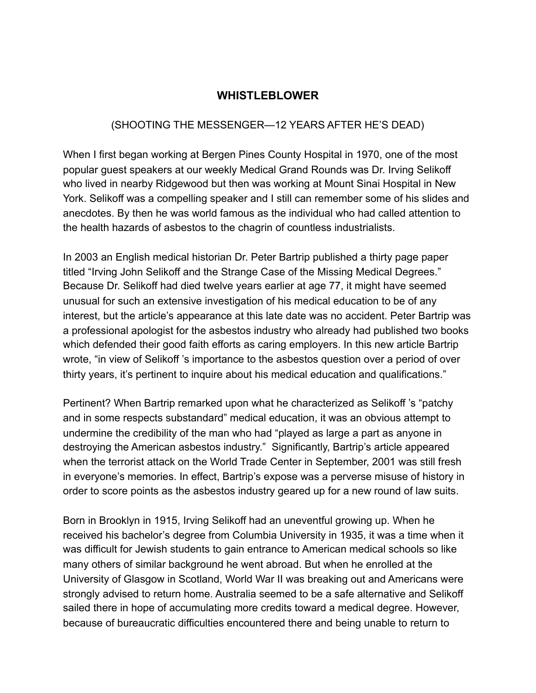## **WHISTLEBLOWER**

## (SHOOTING THE MESSENGER—12 YEARS AFTER HE'S DEAD)

When I first began working at Bergen Pines County Hospital in 1970, one of the most popular guest speakers at our weekly Medical Grand Rounds was Dr. Irving Selikoff who lived in nearby Ridgewood but then was working at Mount Sinai Hospital in New York. Selikoff was a compelling speaker and I still can remember some of his slides and anecdotes. By then he was world famous as the individual who had called attention to the health hazards of asbestos to the chagrin of countless industrialists.

In 2003 an English medical historian Dr. Peter Bartrip published a thirty page paper titled "Irving John Selikoff and the Strange Case of the Missing Medical Degrees." Because Dr. Selikoff had died twelve years earlier at age 77, it might have seemed unusual for such an extensive investigation of his medical education to be of any interest, but the article's appearance at this late date was no accident. Peter Bartrip was a professional apologist for the asbestos industry who already had published two books which defended their good faith efforts as caring employers. In this new article Bartrip wrote, "in view of Selikoff 's importance to the asbestos question over a period of over thirty years, it's pertinent to inquire about his medical education and qualifications."

Pertinent? When Bartrip remarked upon what he characterized as Selikoff 's "patchy and in some respects substandard" medical education, it was an obvious attempt to undermine the credibility of the man who had "played as large a part as anyone in destroying the American asbestos industry." Significantly, Bartrip's article appeared when the terrorist attack on the World Trade Center in September, 2001 was still fresh in everyone's memories. In effect, Bartrip's expose was a perverse misuse of history in order to score points as the asbestos industry geared up for a new round of law suits.

Born in Brooklyn in 1915, Irving Selikoff had an uneventful growing up. When he received his bachelor's degree from Columbia University in 1935, it was a time when it was difficult for Jewish students to gain entrance to American medical schools so like many others of similar background he went abroad. But when he enrolled at the University of Glasgow in Scotland, World War II was breaking out and Americans were strongly advised to return home. Australia seemed to be a safe alternative and Selikoff sailed there in hope of accumulating more credits toward a medical degree. However, because of bureaucratic difficulties encountered there and being unable to return to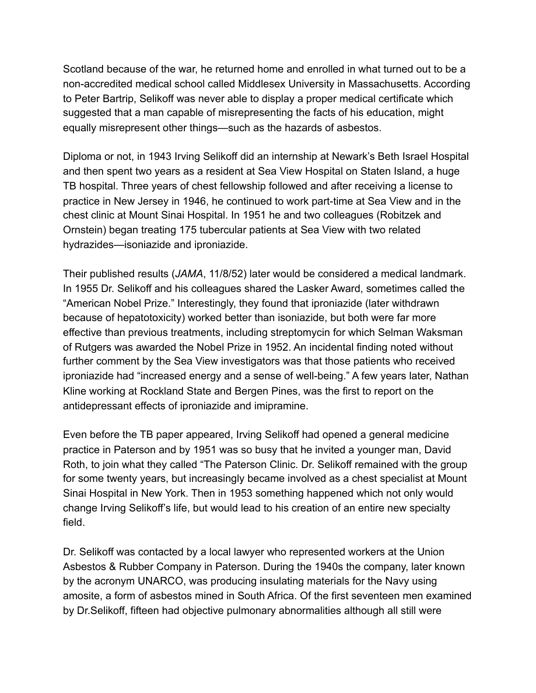Scotland because of the war, he returned home and enrolled in what turned out to be a non-accredited medical school called Middlesex University in Massachusetts. According to Peter Bartrip, Selikoff was never able to display a proper medical certificate which suggested that a man capable of misrepresenting the facts of his education, might equally misrepresent other things—such as the hazards of asbestos.

Diploma or not, in 1943 Irving Selikoff did an internship at Newark's Beth Israel Hospital and then spent two years as a resident at Sea View Hospital on Staten Island, a huge TB hospital. Three years of chest fellowship followed and after receiving a license to practice in New Jersey in 1946, he continued to work part-time at Sea View and in the chest clinic at Mount Sinai Hospital. In 1951 he and two colleagues (Robitzek and Ornstein) began treating 175 tubercular patients at Sea View with two related hydrazides—isoniazide and iproniazide.

Their published results (*JAMA*, 11/8/52) later would be considered a medical landmark. In 1955 Dr. Selikoff and his colleagues shared the Lasker Award, sometimes called the "American Nobel Prize." Interestingly, they found that iproniazide (later withdrawn because of hepatotoxicity) worked better than isoniazide, but both were far more effective than previous treatments, including streptomycin for which Selman Waksman of Rutgers was awarded the Nobel Prize in 1952. An incidental finding noted without further comment by the Sea View investigators was that those patients who received iproniazide had "increased energy and a sense of well-being." A few years later, Nathan Kline working at Rockland State and Bergen Pines, was the first to report on the antidepressant effects of iproniazide and imipramine.

Even before the TB paper appeared, Irving Selikoff had opened a general medicine practice in Paterson and by 1951 was so busy that he invited a younger man, David Roth, to join what they called "The Paterson Clinic. Dr. Selikoff remained with the group for some twenty years, but increasingly became involved as a chest specialist at Mount Sinai Hospital in New York. Then in 1953 something happened which not only would change Irving Selikoff's life, but would lead to his creation of an entire new specialty field.

Dr. Selikoff was contacted by a local lawyer who represented workers at the Union Asbestos & Rubber Company in Paterson. During the 1940s the company, later known by the acronym UNARCO, was producing insulating materials for the Navy using amosite, a form of asbestos mined in South Africa. Of the first seventeen men examined by Dr.Selikoff, fifteen had objective pulmonary abnormalities although all still were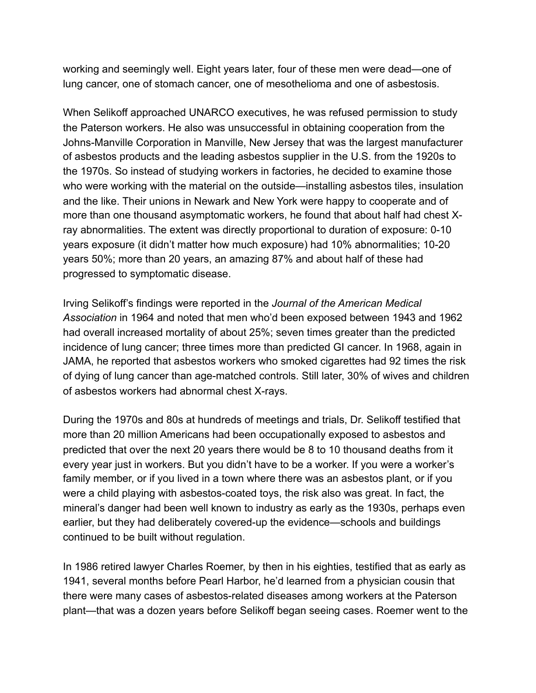working and seemingly well. Eight years later, four of these men were dead—one of lung cancer, one of stomach cancer, one of mesothelioma and one of asbestosis.

When Selikoff approached UNARCO executives, he was refused permission to study the Paterson workers. He also was unsuccessful in obtaining cooperation from the Johns-Manville Corporation in Manville, New Jersey that was the largest manufacturer of asbestos products and the leading asbestos supplier in the U.S. from the 1920s to the 1970s. So instead of studying workers in factories, he decided to examine those who were working with the material on the outside—installing asbestos tiles, insulation and the like. Their unions in Newark and New York were happy to cooperate and of more than one thousand asymptomatic workers, he found that about half had chest Xray abnormalities. The extent was directly proportional to duration of exposure: 0-10 years exposure (it didn't matter how much exposure) had 10% abnormalities; 10-20 years 50%; more than 20 years, an amazing 87% and about half of these had progressed to symptomatic disease.

Irving Selikoff's findings were reported in the *Journal of the American Medical Association* in 1964 and noted that men who'd been exposed between 1943 and 1962 had overall increased mortality of about 25%; seven times greater than the predicted incidence of lung cancer; three times more than predicted GI cancer. In 1968, again in JAMA, he reported that asbestos workers who smoked cigarettes had 92 times the risk of dying of lung cancer than age-matched controls. Still later, 30% of wives and children of asbestos workers had abnormal chest X-rays.

During the 1970s and 80s at hundreds of meetings and trials, Dr. Selikoff testified that more than 20 million Americans had been occupationally exposed to asbestos and predicted that over the next 20 years there would be 8 to 10 thousand deaths from it every year just in workers. But you didn't have to be a worker. If you were a worker's family member, or if you lived in a town where there was an asbestos plant, or if you were a child playing with asbestos-coated toys, the risk also was great. In fact, the mineral's danger had been well known to industry as early as the 1930s, perhaps even earlier, but they had deliberately covered-up the evidence—schools and buildings continued to be built without regulation.

In 1986 retired lawyer Charles Roemer, by then in his eighties, testified that as early as 1941, several months before Pearl Harbor, he'd learned from a physician cousin that there were many cases of asbestos-related diseases among workers at the Paterson plant—that was a dozen years before Selikoff began seeing cases. Roemer went to the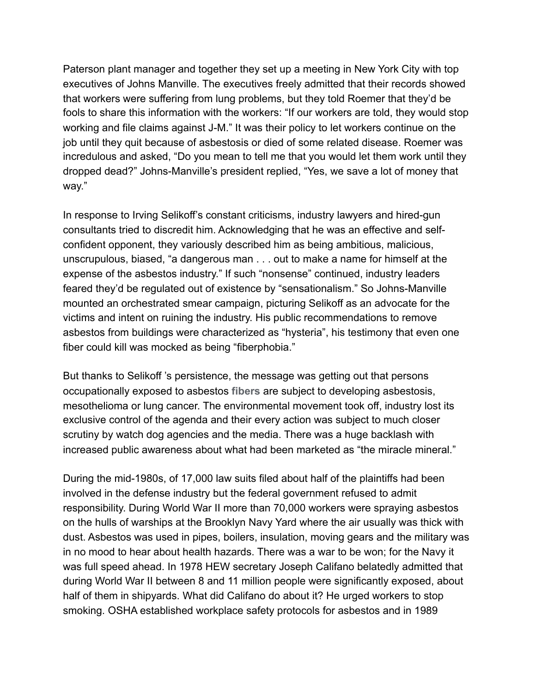Paterson plant manager and together they set up a meeting in New York City with top executives of Johns Manville. The executives freely admitted that their records showed that workers were suffering from lung problems, but they told Roemer that they'd be fools to share this information with the workers: "If our workers are told, they would stop working and file claims against J-M." It was their policy to let workers continue on the job until they quit because of asbestosis or died of some related disease. Roemer was incredulous and asked, "Do you mean to tell me that you would let them work until they dropped dead?" Johns-Manville's president replied, "Yes, we save a lot of money that way."

In response to Irving Selikoff's constant criticisms, industry lawyers and hired-gun consultants tried to discredit him. Acknowledging that he was an effective and selfconfident opponent, they variously described him as being ambitious, malicious, unscrupulous, biased, "a dangerous man . . . out to make a name for himself at the expense of the asbestos industry." If such "nonsense" continued, industry leaders feared they'd be regulated out of existence by "sensationalism." So Johns-Manville mounted an orchestrated smear campaign, picturing Selikoff as an advocate for the victims and intent on ruining the industry. His public recommendations to remove asbestos from buildings were characterized as "hysteria", his testimony that even one fiber could kill was mocked as being "fiberphobia."

But thanks to Selikoff 's persistence, the message was getting out that persons occupationally exposed to asbestos **fibers** are subject to developing asbestosis, mesothelioma or lung cancer. The environmental movement took off, industry lost its exclusive control of the agenda and their every action was subject to much closer scrutiny by watch dog agencies and the media. There was a huge backlash with increased public awareness about what had been marketed as "the miracle mineral."

During the mid-1980s, of 17,000 law suits filed about half of the plaintiffs had been involved in the defense industry but the federal government refused to admit responsibility. During World War II more than 70,000 workers were spraying asbestos on the hulls of warships at the Brooklyn Navy Yard where the air usually was thick with dust. Asbestos was used in pipes, boilers, insulation, moving gears and the military was in no mood to hear about health hazards. There was a war to be won; for the Navy it was full speed ahead. In 1978 HEW secretary Joseph Califano belatedly admitted that during World War II between 8 and 11 million people were significantly exposed, about half of them in shipyards. What did Califano do about it? He urged workers to stop smoking. OSHA established workplace safety protocols for asbestos and in 1989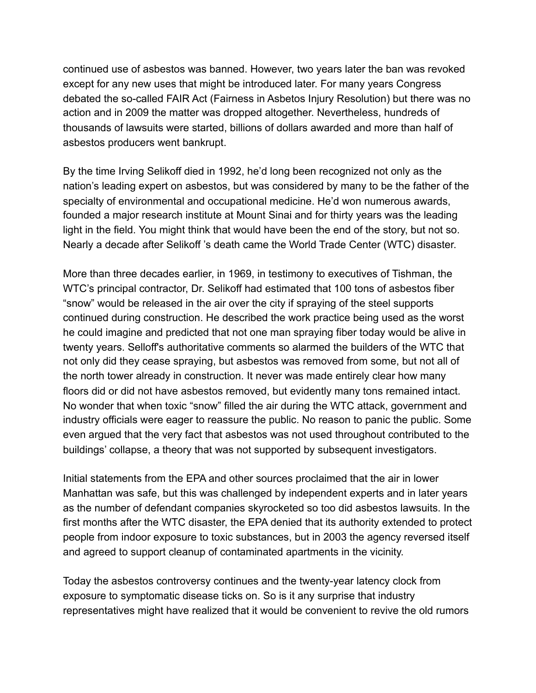continued use of asbestos was banned. However, two years later the ban was revoked except for any new uses that might be introduced later. For many years Congress debated the so-called FAIR Act (Fairness in Asbetos Injury Resolution) but there was no action and in 2009 the matter was dropped altogether. Nevertheless, hundreds of thousands of lawsuits were started, billions of dollars awarded and more than half of asbestos producers went bankrupt.

By the time Irving Selikoff died in 1992, he'd long been recognized not only as the nation's leading expert on asbestos, but was considered by many to be the father of the specialty of environmental and occupational medicine. He'd won numerous awards, founded a major research institute at Mount Sinai and for thirty years was the leading light in the field. You might think that would have been the end of the story, but not so. Nearly a decade after Selikoff 's death came the World Trade Center (WTC) disaster.

More than three decades earlier, in 1969, in testimony to executives of Tishman, the WTC's principal contractor, Dr. Selikoff had estimated that 100 tons of asbestos fiber "snow" would be released in the air over the city if spraying of the steel supports continued during construction. He described the work practice being used as the worst he could imagine and predicted that not one man spraying fiber today would be alive in twenty years. Selloff's authoritative comments so alarmed the builders of the WTC that not only did they cease spraying, but asbestos was removed from some, but not all of the north tower already in construction. It never was made entirely clear how many floors did or did not have asbestos removed, but evidently many tons remained intact. No wonder that when toxic "snow" filled the air during the WTC attack, government and industry officials were eager to reassure the public. No reason to panic the public. Some even argued that the very fact that asbestos was not used throughout contributed to the buildings' collapse, a theory that was not supported by subsequent investigators.

Initial statements from the EPA and other sources proclaimed that the air in lower Manhattan was safe, but this was challenged by independent experts and in later years as the number of defendant companies skyrocketed so too did asbestos lawsuits. In the first months after the WTC disaster, the EPA denied that its authority extended to protect people from indoor exposure to toxic substances, but in 2003 the agency reversed itself and agreed to support cleanup of contaminated apartments in the vicinity.

Today the asbestos controversy continues and the twenty-year latency clock from exposure to symptomatic disease ticks on. So is it any surprise that industry representatives might have realized that it would be convenient to revive the old rumors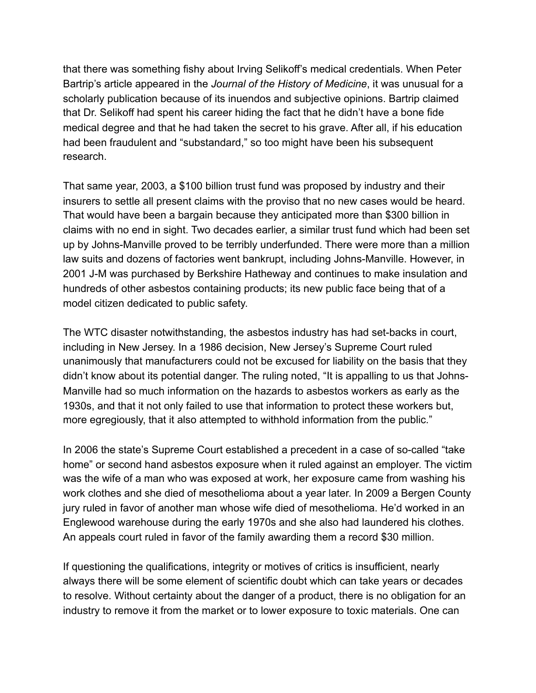that there was something fishy about Irving Selikoff's medical credentials. When Peter Bartrip's article appeared in the *Journal of the History of Medicine*, it was unusual for a scholarly publication because of its inuendos and subjective opinions. Bartrip claimed that Dr. Selikoff had spent his career hiding the fact that he didn't have a bone fide medical degree and that he had taken the secret to his grave. After all, if his education had been fraudulent and "substandard," so too might have been his subsequent research.

That same year, 2003, a \$100 billion trust fund was proposed by industry and their insurers to settle all present claims with the proviso that no new cases would be heard. That would have been a bargain because they anticipated more than \$300 billion in claims with no end in sight. Two decades earlier, a similar trust fund which had been set up by Johns-Manville proved to be terribly underfunded. There were more than a million law suits and dozens of factories went bankrupt, including Johns-Manville. However, in 2001 J-M was purchased by Berkshire Hatheway and continues to make insulation and hundreds of other asbestos containing products; its new public face being that of a model citizen dedicated to public safety.

The WTC disaster notwithstanding, the asbestos industry has had set-backs in court, including in New Jersey. In a 1986 decision, New Jersey's Supreme Court ruled unanimously that manufacturers could not be excused for liability on the basis that they didn't know about its potential danger. The ruling noted, "It is appalling to us that Johns-Manville had so much information on the hazards to asbestos workers as early as the 1930s, and that it not only failed to use that information to protect these workers but, more egregiously, that it also attempted to withhold information from the public."

In 2006 the state's Supreme Court established a precedent in a case of so-called "take home" or second hand asbestos exposure when it ruled against an employer. The victim was the wife of a man who was exposed at work, her exposure came from washing his work clothes and she died of mesothelioma about a year later. In 2009 a Bergen County jury ruled in favor of another man whose wife died of mesothelioma. He'd worked in an Englewood warehouse during the early 1970s and she also had laundered his clothes. An appeals court ruled in favor of the family awarding them a record \$30 million.

If questioning the qualifications, integrity or motives of critics is insufficient, nearly always there will be some element of scientific doubt which can take years or decades to resolve. Without certainty about the danger of a product, there is no obligation for an industry to remove it from the market or to lower exposure to toxic materials. One can